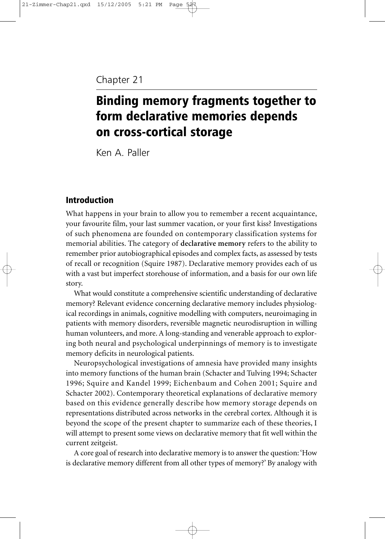# Chapter 21

# Binding memory fragments together to form declarative memories depends on cross-cortical storage

Ken A. Paller

# Introduction

What happens in your brain to allow you to remember a recent acquaintance, your favourite film, your last summer vacation, or your first kiss? Investigations of such phenomena are founded on contemporary classification systems for memorial abilities. The category of **declarative memory** refers to the ability to remember prior autobiographical episodes and complex facts, as assessed by tests of recall or recognition (Squire 1987). Declarative memory provides each of us with a vast but imperfect storehouse of information, and a basis for our own life story.

What would constitute a comprehensive scientific understanding of declarative memory? Relevant evidence concerning declarative memory includes physiological recordings in animals, cognitive modelling with computers, neuroimaging in patients with memory disorders, reversible magnetic neurodisruption in willing human volunteers, and more. A long-standing and venerable approach to exploring both neural and psychological underpinnings of memory is to investigate memory deficits in neurological patients.

Neuropsychological investigations of amnesia have provided many insights into memory functions of the human brain (Schacter and Tulving 1994; Schacter 1996; Squire and Kandel 1999; Eichenbaum and Cohen 2001; Squire and Schacter 2002). Contemporary theoretical explanations of declarative memory based on this evidence generally describe how memory storage depends on representations distributed across networks in the cerebral cortex. Although it is beyond the scope of the present chapter to summarize each of these theories, I will attempt to present some views on declarative memory that fit well within the current zeitgeist.

A core goal of research into declarative memory is to answer the question: 'How is declarative memory different from all other types of memory?' By analogy with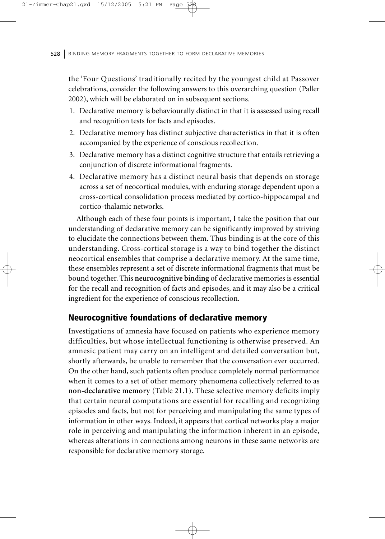the 'Four Questions' traditionally recited by the youngest child at Passover celebrations, consider the following answers to this overarching question (Paller 2002), which will be elaborated on in subsequent sections.

- 1. Declarative memory is behaviourally distinct in that it is assessed using recall and recognition tests for facts and episodes.
- 2. Declarative memory has distinct subjective characteristics in that it is often accompanied by the experience of conscious recollection.
- 3. Declarative memory has a distinct cognitive structure that entails retrieving a conjunction of discrete informational fragments.
- 4. Declarative memory has a distinct neural basis that depends on storage across a set of neocortical modules, with enduring storage dependent upon a cross-cortical consolidation process mediated by cortico-hippocampal and cortico-thalamic networks.

Although each of these four points is important, I take the position that our understanding of declarative memory can be significantly improved by striving to elucidate the connections between them. Thus binding is at the core of this understanding. Cross-cortical storage is a way to bind together the distinct neocortical ensembles that comprise a declarative memory. At the same time, these ensembles represent a set of discrete informational fragments that must be bound together. This **neurocognitive binding** of declarative memories is essential for the recall and recognition of facts and episodes, and it may also be a critical ingredient for the experience of conscious recollection.

### Neurocognitive foundations of declarative memory

Investigations of amnesia have focused on patients who experience memory difficulties, but whose intellectual functioning is otherwise preserved. An amnesic patient may carry on an intelligent and detailed conversation but, shortly afterwards, be unable to remember that the conversation ever occurred. On the other hand, such patients often produce completely normal performance when it comes to a set of other memory phenomena collectively referred to as **non-declarative memory** (Table 21.1). These selective memory deficits imply that certain neural computations are essential for recalling and recognizing episodes and facts, but not for perceiving and manipulating the same types of information in other ways. Indeed, it appears that cortical networks play a major role in perceiving and manipulating the information inherent in an episode, whereas alterations in connections among neurons in these same networks are responsible for declarative memory storage.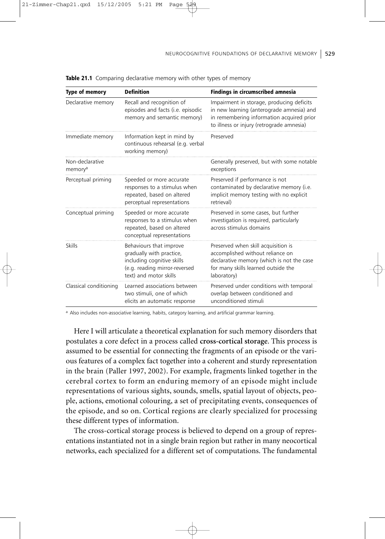| <b>Type of memory</b>                  | <b>Definition</b>                                                                                                                            | <b>Findings in circumscribed amnesia</b>                                                                                                                                         |
|----------------------------------------|----------------------------------------------------------------------------------------------------------------------------------------------|----------------------------------------------------------------------------------------------------------------------------------------------------------------------------------|
| Declarative memory                     | Recall and recognition of<br>episodes and facts (i.e. episodic<br>memory and semantic memory)                                                | Impairment in storage, producing deficits<br>in new learning (anterograde amnesia) and<br>in remembering information acquired prior<br>to illness or injury (retrograde amnesia) |
| Immediate memory                       | Information kept in mind by<br>continuous rehearsal (e.g. verbal<br>working memory)                                                          | Preserved                                                                                                                                                                        |
| Non-declarative<br>memory <sup>a</sup> |                                                                                                                                              | Generally preserved, but with some notable<br>exceptions                                                                                                                         |
| Perceptual priming                     | Speeded or more accurate<br>responses to a stimulus when<br>repeated, based on altered<br>perceptual representations                         | Preserved if performance is not<br>contaminated by declarative memory (i.e.<br>implicit memory testing with no explicit<br>retrieval)                                            |
| Conceptual priming                     | Speeded or more accurate<br>responses to a stimulus when<br>repeated, based on altered<br>conceptual representations                         | Preserved in some cases, but further<br>investigation is required, particularly<br>across stimulus domains                                                                       |
| <b>Skills</b>                          | Behaviours that improve<br>gradually with practice,<br>including cognitive skills<br>(e.g. reading mirror-reversed<br>text) and motor skills | Preserved when skill acquisition is<br>accomplished without reliance on<br>declarative memory (which is not the case<br>for many skills learned outside the<br>laboratory)       |
| Classical conditioning                 | Learned associations between<br>two stimuli, one of which<br>elicits an automatic response                                                   | Preserved under conditions with temporal<br>overlap between conditioned and<br>unconditioned stimuli                                                                             |

Table 21.1 Comparing declarative memory with other types of memory

21-Zimmer-Chap21.qxd 15/12/2005 5:21 PM

a Also includes non-associative learning, habits, category learning, and artificial grammar learning.

Here I will articulate a theoretical explanation for such memory disorders that postulates a core defect in a process called **cross-cortical storage**. This process is assumed to be essential for connecting the fragments of an episode or the various features of a complex fact together into a coherent and sturdy representation in the brain (Paller 1997, 2002). For example, fragments linked together in the cerebral cortex to form an enduring memory of an episode might include representations of various sights, sounds, smells, spatial layout of objects, people, actions, emotional colouring, a set of precipitating events, consequences of the episode, and so on. Cortical regions are clearly specialized for processing these different types of information.

The cross-cortical storage process is believed to depend on a group of representations instantiated not in a single brain region but rather in many neocortical networks, each specialized for a different set of computations. The fundamental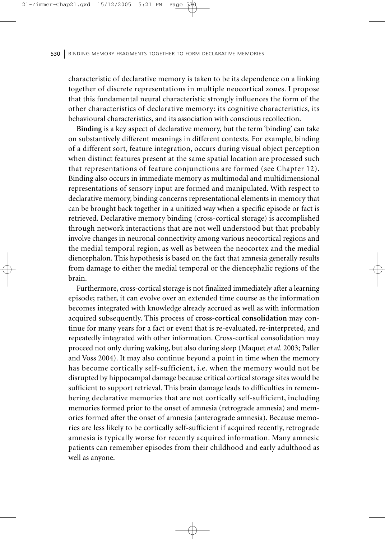characteristic of declarative memory is taken to be its dependence on a linking together of discrete representations in multiple neocortical zones. I propose that this fundamental neural characteristic strongly influences the form of the other characteristics of declarative memory: its cognitive characteristics, its behavioural characteristics, and its association with conscious recollection.

**Binding** is a key aspect of declarative memory, but the term 'binding' can take on substantively different meanings in different contexts. For example, binding of a different sort, feature integration, occurs during visual object perception when distinct features present at the same spatial location are processed such that representations of feature conjunctions are formed (see Chapter 12). Binding also occurs in immediate memory as multimodal and multidimensional representations of sensory input are formed and manipulated. With respect to declarative memory, binding concerns representational elements in memory that can be brought back together in a unitized way when a specific episode or fact is retrieved. Declarative memory binding (cross-cortical storage) is accomplished through network interactions that are not well understood but that probably involve changes in neuronal connectivity among various neocortical regions and the medial temporal region, as well as between the neocortex and the medial diencephalon. This hypothesis is based on the fact that amnesia generally results from damage to either the medial temporal or the diencephalic regions of the brain.

Furthermore, cross-cortical storage is not finalized immediately after a learning episode; rather, it can evolve over an extended time course as the information becomes integrated with knowledge already accrued as well as with information acquired subsequently. This process of **cross-cortical consolidation** may continue for many years for a fact or event that is re-evaluated, re-interpreted, and repeatedly integrated with other information. Cross-cortical consolidation may proceed not only during waking, but also during sleep (Maquet *et al*. 2003; Paller and Voss 2004). It may also continue beyond a point in time when the memory has become cortically self-sufficient, i.e. when the memory would not be disrupted by hippocampal damage because critical cortical storage sites would be sufficient to support retrieval. This brain damage leads to difficulties in remembering declarative memories that are not cortically self-sufficient, including memories formed prior to the onset of amnesia (retrograde amnesia) and memories formed after the onset of amnesia (anterograde amnesia). Because memories are less likely to be cortically self-sufficient if acquired recently, retrograde amnesia is typically worse for recently acquired information. Many amnesic patients can remember episodes from their childhood and early adulthood as well as anyone.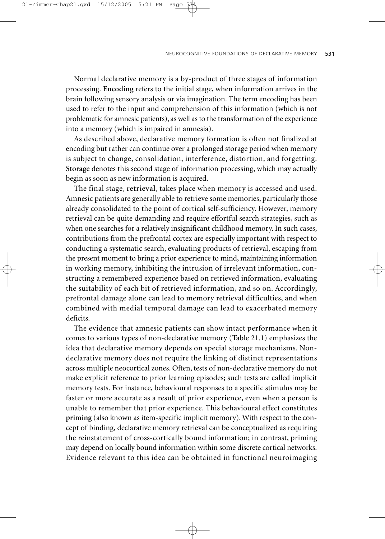21-Zimmer-Chap21.qxd 15/12/2005 5:21

Normal declarative memory is a by-product of three stages of information processing. **Encoding** refers to the initial stage, when information arrives in the brain following sensory analysis or via imagination. The term encoding has been used to refer to the input and comprehension of this information (which is not problematic for amnesic patients), as well as to the transformation of the experience into a memory (which is impaired in amnesia).

As described above, declarative memory formation is often not finalized at encoding but rather can continue over a prolonged storage period when memory is subject to change, consolidation, interference, distortion, and forgetting. **Storage** denotes this second stage of information processing, which may actually begin as soon as new information is acquired.

The final stage, **retrieval**, takes place when memory is accessed and used. Amnesic patients are generally able to retrieve some memories, particularly those already consolidated to the point of cortical self-sufficiency. However, memory retrieval can be quite demanding and require effortful search strategies, such as when one searches for a relatively insignificant childhood memory. In such cases, contributions from the prefrontal cortex are especially important with respect to conducting a systematic search, evaluating products of retrieval, escaping from the present moment to bring a prior experience to mind, maintaining information in working memory, inhibiting the intrusion of irrelevant information, constructing a remembered experience based on retrieved information, evaluating the suitability of each bit of retrieved information, and so on. Accordingly, prefrontal damage alone can lead to memory retrieval difficulties, and when combined with medial temporal damage can lead to exacerbated memory deficits.

The evidence that amnesic patients can show intact performance when it comes to various types of non-declarative memory (Table 21.1) emphasizes the idea that declarative memory depends on special storage mechanisms. Nondeclarative memory does not require the linking of distinct representations across multiple neocortical zones. Often, tests of non-declarative memory do not make explicit reference to prior learning episodes; such tests are called implicit memory tests. For instance, behavioural responses to a specific stimulus may be faster or more accurate as a result of prior experience, even when a person is unable to remember that prior experience. This behavioural effect constitutes **priming** (also known as item-specific implicit memory). With respect to the concept of binding, declarative memory retrieval can be conceptualized as requiring the reinstatement of cross-cortically bound information; in contrast, priming may depend on locally bound information within some discrete cortical networks. Evidence relevant to this idea can be obtained in functional neuroimaging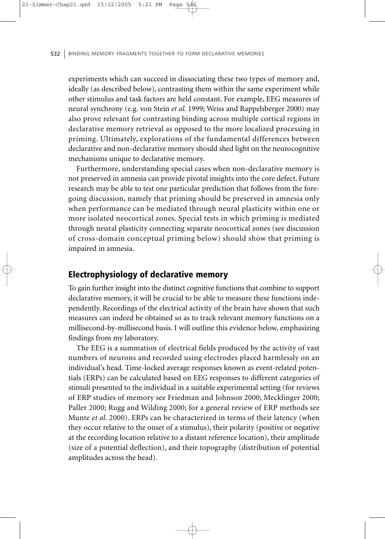experiments which can succeed in dissociating these two types of memory and, ideally (as described below), contrasting them within the same experiment while other stimulus and task factors are held constant. For example, EEG measures of neural synchrony (e.g. von Stein *et al*. 1999; Weiss and Rappelsberger 2000) may also prove relevant for contrasting binding across multiple cortical regions in declarative memory retrieval as opposed to the more localized processing in priming. Ultimately, explorations of the fundamental differences between declarative and non-declarative memory should shed light on the neurocognitive mechanisms unique to declarative memory.

Furthermore, understanding special cases when non-declarative memory is not preserved in amnesia can provide pivotal insights into the core defect. Future research may be able to test one particular prediction that follows from the foregoing discussion, namely that priming should be preserved in amnesia only when performance can be mediated through neural plasticity within one or more isolated neocortical zones. Special tests in which priming is mediated through neural plasticity connecting separate neocortical zones (see discussion of cross-domain conceptual priming below) should show that priming is impaired in amnesia.

# Electrophysiology of declarative memory

To gain further insight into the distinct cognitive functions that combine to support declarative memory, it will be crucial to be able to measure these functions independently. Recordings of the electrical activity of the brain have shown that such measures can indeed be obtained so as to track relevant memory functions on a millisecond-by-millisecond basis. I will outline this evidence below, emphasizing findings from my laboratory.

The EEG is a summation of electrical fields produced by the activity of vast numbers of neurons and recorded using electrodes placed harmlessly on an individual's head. Time-locked average responses known as event-related potentials (ERPs) can be calculated based on EEG responses to different categories of stimuli presented to the individual in a suitable experimental setting (for reviews of ERP studies of memory see Friedman and Johnson 2000; Mecklinger 2000; Paller 2000; Rugg and Wilding 2000; for a general review of ERP methods see Munte *et al*. 2000). ERPs can be characterized in terms of their latency (when they occur relative to the onset of a stimulus), their polarity (positive or negative at the recording location relative to a distant reference location), their amplitude (size of a potential deflection), and their topography (distribution of potential amplitudes across the head).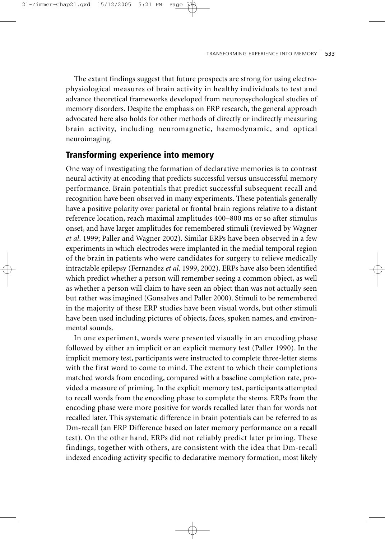The extant findings suggest that future prospects are strong for using electrophysiological measures of brain activity in healthy individuals to test and advance theoretical frameworks developed from neuropsychological studies of memory disorders. Despite the emphasis on ERP research, the general approach advocated here also holds for other methods of directly or indirectly measuring brain activity, including neuromagnetic, haemodynamic, and optical neuroimaging.

### Transforming experience into memory

21-Zimmer-Chap21.qxd 15/12/2005 5:21 PM

One way of investigating the formation of declarative memories is to contrast neural activity at encoding that predicts successful versus unsuccessful memory performance. Brain potentials that predict successful subsequent recall and recognition have been observed in many experiments. These potentials generally have a positive polarity over parietal or frontal brain regions relative to a distant reference location, reach maximal amplitudes 400–800 ms or so after stimulus onset, and have larger amplitudes for remembered stimuli (reviewed by Wagner *et al*. 1999; Paller and Wagner 2002). Similar ERPs have been observed in a few experiments in which electrodes were implanted in the medial temporal region of the brain in patients who were candidates for surgery to relieve medically intractable epilepsy (Fernandez *et al*. 1999, 2002). ERPs have also been identified which predict whether a person will remember seeing a common object, as well as whether a person will claim to have seen an object than was not actually seen but rather was imagined (Gonsalves and Paller 2000). Stimuli to be remembered in the majority of these ERP studies have been visual words, but other stimuli have been used including pictures of objects, faces, spoken names, and environmental sounds.

In one experiment, words were presented visually in an encoding phase followed by either an implicit or an explicit memory test (Paller 1990). In the implicit memory test, participants were instructed to complete three-letter stems with the first word to come to mind. The extent to which their completions matched words from encoding, compared with a baseline completion rate, provided a measure of priming. In the explicit memory test, participants attempted to recall words from the encoding phase to complete the stems. ERPs from the encoding phase were more positive for words recalled later than for words not recalled later. This systematic difference in brain potentials can be referred to as Dm-recall (an ERP **D**ifference based on later **m**emory performance on a **recall** test). On the other hand, ERPs did not reliably predict later priming. These findings, together with others, are consistent with the idea that Dm-recall indexed encoding activity specific to declarative memory formation, most likely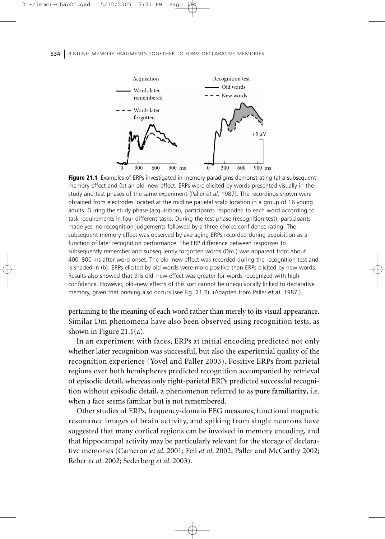

Figure 21.1 Examples of ERPs investigated in memory paradigms demonstrating (a) a subsequent memory effect and (b) an old–new effect. ERPs were elicited by words presented visually in the study and test phases of the same experiment (Paller *et al*. 1987). The recordings shown were obtained from electrodes located at the midline parietal scalp location in a group of 16 young adults. During the study phase (acquisition), participants responded to each word according to task requirements in four different tasks. During the test phase (recognition test), participants made yes–no recognition judgements followed by a three-choice confidence rating. The subsequent memory effect was observed by averaging ERPs recorded during acquisition as a function of later recognition performance. The ERP difference between responses to subsequently remember and subsequently forgotten words (Dm ) was apparent from about 400–800 ms after word onset. The old–new effect was recorded during the recognition test and is shaded in (b). ERPs elicited by old words were more positive than ERPs elicited by new words. Results also showed that this old–new effect was greater for words recognized with high confidence. However, old–new effects of this sort cannot be unequivocally linked to declarative memory, given that priming also occurs (see Fig. 21.2). (Adapted from Paller *et al*. 1987.)

pertaining to the meaning of each word rather than merely to its visual appearance. Similar Dm phenomena have also been observed using recognition tests, as shown in Figure 21.1(a).

In an experiment with faces, ERPs at initial encoding predicted not only whether later recognition was successful, but also the experiential quality of the recognition experience (Yovel and Paller 2003). Positive ERPs from parietal regions over both hemispheres predicted recognition accompanied by retrieval of episodic detail, whereas only right-parietal ERPs predicted successful recognition without episodic detail, a phenomenon referred to as **pure familiarity**, i.e. when a face seems familiar but is not remembered.

Other studies of ERPs, frequency-domain EEG measures, functional magnetic resonance images of brain activity, and spiking from single neurons have suggested that many cortical regions can be involved in memory encoding, and that hippocampal activity may be particularly relevant for the storage of declarative memories (Cameron *et al*. 2001; Fell *et al*. 2002; Paller and McCarthy 2002; Reber *et al*. 2002; Sederberg *et al*. 2003).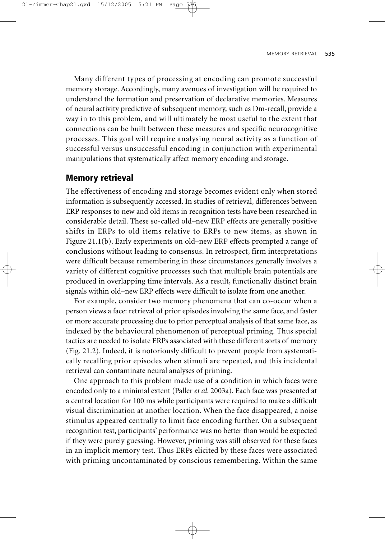Many different types of processing at encoding can promote successful memory storage. Accordingly, many avenues of investigation will be required to understand the formation and preservation of declarative memories. Measures of neural activity predictive of subsequent memory, such as Dm-recall, provide a way in to this problem, and will ultimately be most useful to the extent that connections can be built between these measures and specific neurocognitive processes. This goal will require analysing neural activity as a function of successful versus unsuccessful encoding in conjunction with experimental manipulations that systematically affect memory encoding and storage.

### Memory retrieval

The effectiveness of encoding and storage becomes evident only when stored information is subsequently accessed. In studies of retrieval, differences between ERP responses to new and old items in recognition tests have been researched in considerable detail. These so-called old–new ERP effects are generally positive shifts in ERPs to old items relative to ERPs to new items, as shown in Figure 21.1(b). Early experiments on old–new ERP effects prompted a range of conclusions without leading to consensus. In retrospect, firm interpretations were difficult because remembering in these circumstances generally involves a variety of different cognitive processes such that multiple brain potentials are produced in overlapping time intervals. As a result, functionally distinct brain signals within old–new ERP effects were difficult to isolate from one another.

For example, consider two memory phenomena that can co-occur when a person views a face: retrieval of prior episodes involving the same face, and faster or more accurate processing due to prior perceptual analysis of that same face, as indexed by the behavioural phenomenon of perceptual priming. Thus special tactics are needed to isolate ERPs associated with these different sorts of memory (Fig. 21.2). Indeed, it is notoriously difficult to prevent people from systematically recalling prior episodes when stimuli are repeated, and this incidental retrieval can contaminate neural analyses of priming.

One approach to this problem made use of a condition in which faces were encoded only to a minimal extent (Paller *et al*. 2003a). Each face was presented at a central location for 100 ms while participants were required to make a difficult visual discrimination at another location. When the face disappeared, a noise stimulus appeared centrally to limit face encoding further. On a subsequent recognition test, participants' performance was no better than would be expected if they were purely guessing. However, priming was still observed for these faces in an implicit memory test. Thus ERPs elicited by these faces were associated with priming uncontaminated by conscious remembering. Within the same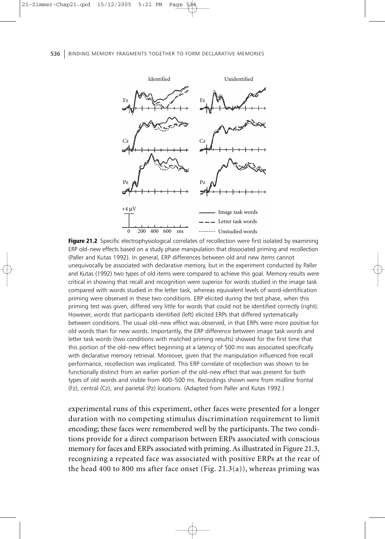

Figure 21.2 Specific electrophysiological correlates of recollection were first isolated by examining ERP old–new effects based on a study phase manipulation that dissociated priming and recollection (Paller and Kutas 1992). In general, ERP differences between old and new items cannot unequivocally be associated with declarative memory, but in the experiment conducted by Paller and Kutas (1992) two types of old items were compared to achieve this goal. Memory results were critical in showing that recall and recognition were superior for words studied in the image task compared with words studied in the letter task, whereas equivalent levels of word-identification priming were observed in these two conditions. ERP elicited during the test phase, when this priming test was given, differed very little for words that could not be identified correctly (right). However, words that participants identified (left) elicited ERPs that differed systematically between conditions. The usual old–new effect was observed, in that ERPs were more positive for old words than for new words. Importantly, the ERP difference between image task words and letter task words (two conditions with matched priming results) showed for the first time that this portion of the old–new effect beginning at a latency of 500 ms was associated specifically with declarative memory retrieval. Moreover, given that the manipulation influenced free recall performance, recollection was implicated. This ERP correlate of recollection was shown to be functionally distinct from an earlier portion of the old–new effect that was present for both types of old words and visible from 400–500 ms. Recordings shown were from midline frontal (Fz), central (Cz), and parietal (Pz) locations. (Adapted from Paller and Kutas 1992.)

experimental runs of this experiment, other faces were presented for a longer duration with no competing stimulus discrimination requirement to limit encoding; these faces were remembered well by the participants. The two conditions provide for a direct comparison between ERPs associated with conscious memory for faces and ERPs associated with priming.As illustrated in Figure 21.3, recognizing a repeated face was associated with positive ERPs at the rear of the head 400 to 800 ms after face onset (Fig. 21.3(a)), whereas priming was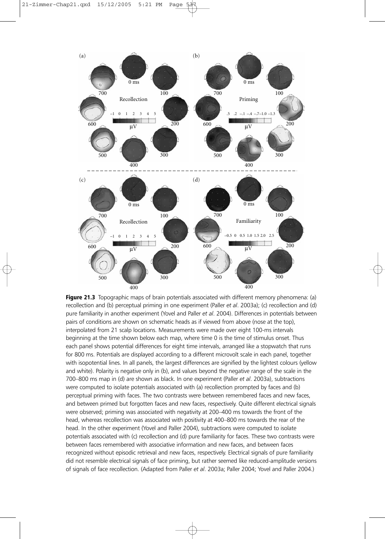

Figure 21.3 Topographic maps of brain potentials associated with different memory phenomena: (a) recollection and (b) perceptual priming in one experiment (Paller *et al*. 2003a); (c) recollection and (d) pure familiarity in another experiment (Yovel and Paller *et al*. 2004). Differences in potentials between pairs of conditions are shown on schematic heads as if viewed from above (nose at the top), interpolated from 21 scalp locations. Measurements were made over eight 100-ms intervals beginning at the time shown below each map, where time 0 is the time of stimulus onset. Thus each panel shows potential differences for eight time intervals, arranged like a stopwatch that runs for 800 ms. Potentials are displayed according to a different microvolt scale in each panel, together with isopotential lines. In all panels, the largest differences are signified by the lightest colours (yellow and white). Polarity is negative only in (b), and values beyond the negative range of the scale in the 700–800 ms map in (d) are shown as black. In one experiment (Paller *et al*. 2003a), subtractions were computed to isolate potentials associated with (a) recollection prompted by faces and (b) perceptual priming with faces. The two contrasts were between remembered faces and new faces, and between primed but forgotten faces and new faces, respectively. Quite different electrical signals were observed; priming was associated with negativity at 200–400 ms towards the front of the head, whereas recollection was associated with positivity at 400–800 ms towards the rear of the head. In the other experiment (Yovel and Paller 2004), subtractions were computed to isolate potentials associated with (c) recollection and (d) pure familiarity for faces. These two contrasts were between faces remembered with associative information and new faces, and between faces recognized without episodic retrieval and new faces, respectively. Electrical signals of pure familiarity did not resemble electrical signals of face priming, but rather seemed like reduced-amplitude versions of signals of face recollection. (Adapted from Paller *et al*. 2003a; Paller 2004; Yovel and Paller 2004.)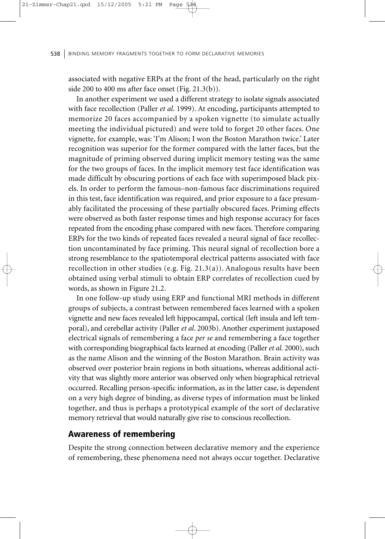associated with negative ERPs at the front of the head, particularly on the right side 200 to 400 ms after face onset (Fig. 21.3(b)).

In another experiment we used a different strategy to isolate signals associated with face recollection (Paller *et al*. 1999). At encoding, participants attempted to memorize 20 faces accompanied by a spoken vignette (to simulate actually meeting the individual pictured) and were told to forget 20 other faces. One vignette, for example, was: 'I'm Alison; I won the Boston Marathon twice.' Later recognition was superior for the former compared with the latter faces, but the magnitude of priming observed during implicit memory testing was the same for the two groups of faces. In the implicit memory test face identification was made difficult by obscuring portions of each face with superimposed black pixels. In order to perform the famous–non-famous face discriminations required in this test, face identification was required, and prior exposure to a face presumably facilitated the processing of these partially obscured faces. Priming effects were observed as both faster response times and high response accuracy for faces repeated from the encoding phase compared with new faces. Therefore comparing ERPs for the two kinds of repeated faces revealed a neural signal of face recollection uncontaminated by face priming. This neural signal of recollection bore a strong resemblance to the spatiotemporal electrical patterns associated with face recollection in other studies (e.g. Fig. 21.3(a)). Analogous results have been obtained using verbal stimuli to obtain ERP correlates of recollection cued by words, as shown in Figure 21.2.

In one follow-up study using ERP and functional MRI methods in different groups of subjects, a contrast between remembered faces learned with a spoken vignette and new faces revealed left hippocampal, cortical (left insula and left temporal), and cerebellar activity (Paller *et al*. 2003b). Another experiment juxtaposed electrical signals of remembering a face *per se* and remembering a face together with corresponding biographical facts learned at encoding (Paller et al. 2000), such as the name Alison and the winning of the Boston Marathon. Brain activity was observed over posterior brain regions in both situations, whereas additional activity that was slightly more anterior was observed only when biographical retrieval occurred. Recalling person-specific information, as in the latter case, is dependent on a very high degree of binding, as diverse types of information must be linked together, and thus is perhaps a prototypical example of the sort of declarative memory retrieval that would naturally give rise to conscious recollection.

### Awareness of remembering

Despite the strong connection between declarative memory and the experience of remembering, these phenomena need not always occur together. Declarative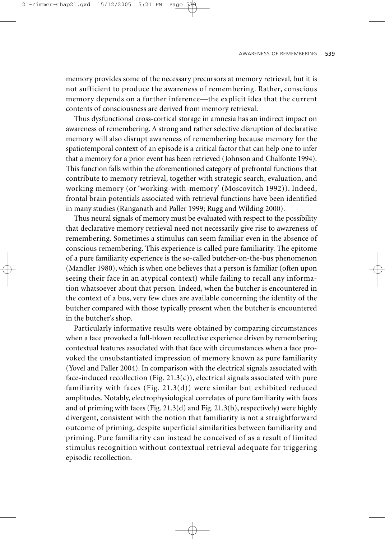memory provides some of the necessary precursors at memory retrieval, but it is not sufficient to produce the awareness of remembering. Rather, conscious memory depends on a further inference—the explicit idea that the current contents of consciousness are derived from memory retrieval.

Thus dysfunctional cross-cortical storage in amnesia has an indirect impact on awareness of remembering. A strong and rather selective disruption of declarative memory will also disrupt awareness of remembering because memory for the spatiotemporal context of an episode is a critical factor that can help one to infer that a memory for a prior event has been retrieved (Johnson and Chalfonte 1994). This function falls within the aforementioned category of prefrontal functions that contribute to memory retrieval, together with strategic search, evaluation, and working memory (or 'working-with-memory' (Moscovitch 1992)). Indeed, frontal brain potentials associated with retrieval functions have been identified in many studies (Ranganath and Paller 1999; Rugg and Wilding 2000).

Thus neural signals of memory must be evaluated with respect to the possibility that declarative memory retrieval need not necessarily give rise to awareness of remembering. Sometimes a stimulus can seem familiar even in the absence of conscious remembering. This experience is called pure familiarity. The epitome of a pure familiarity experience is the so-called butcher-on-the-bus phenomenon (Mandler 1980), which is when one believes that a person is familiar (often upon seeing their face in an atypical context) while failing to recall any information whatsoever about that person. Indeed, when the butcher is encountered in the context of a bus, very few clues are available concerning the identity of the butcher compared with those typically present when the butcher is encountered in the butcher's shop.

Particularly informative results were obtained by comparing circumstances when a face provoked a full-blown recollective experience driven by remembering contextual features associated with that face with circumstances when a face provoked the unsubstantiated impression of memory known as pure familiarity (Yovel and Paller 2004). In comparison with the electrical signals associated with face-induced recollection (Fig. 21.3(c)), electrical signals associated with pure familiarity with faces (Fig. 21.3(d)) were similar but exhibited reduced amplitudes. Notably, electrophysiological correlates of pure familiarity with faces and of priming with faces (Fig.  $21.3(d)$  and Fig.  $21.3(b)$ , respectively) were highly divergent, consistent with the notion that familiarity is not a straightforward outcome of priming, despite superficial similarities between familiarity and priming. Pure familiarity can instead be conceived of as a result of limited stimulus recognition without contextual retrieval adequate for triggering episodic recollection.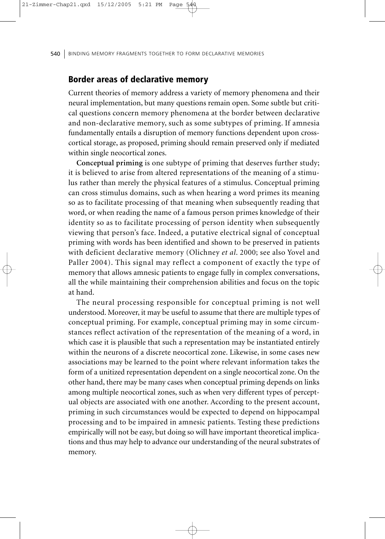### Border areas of declarative memory

Current theories of memory address a variety of memory phenomena and their neural implementation, but many questions remain open. Some subtle but critical questions concern memory phenomena at the border between declarative and non-declarative memory, such as some subtypes of priming. If amnesia fundamentally entails a disruption of memory functions dependent upon crosscortical storage, as proposed, priming should remain preserved only if mediated within single neocortical zones.

**Conceptual priming** is one subtype of priming that deserves further study; it is believed to arise from altered representations of the meaning of a stimulus rather than merely the physical features of a stimulus. Conceptual priming can cross stimulus domains, such as when hearing a word primes its meaning so as to facilitate processing of that meaning when subsequently reading that word, or when reading the name of a famous person primes knowledge of their identity so as to facilitate processing of person identity when subsequently viewing that person's face. Indeed, a putative electrical signal of conceptual priming with words has been identified and shown to be preserved in patients with deficient declarative memory (Olichney *et al*. 2000; see also Yovel and Paller 2004). This signal may reflect a component of exactly the type of memory that allows amnesic patients to engage fully in complex conversations, all the while maintaining their comprehension abilities and focus on the topic at hand.

The neural processing responsible for conceptual priming is not well understood. Moreover, it may be useful to assume that there are multiple types of conceptual priming. For example, conceptual priming may in some circumstances reflect activation of the representation of the meaning of a word, in which case it is plausible that such a representation may be instantiated entirely within the neurons of a discrete neocortical zone. Likewise, in some cases new associations may be learned to the point where relevant information takes the form of a unitized representation dependent on a single neocortical zone. On the other hand, there may be many cases when conceptual priming depends on links among multiple neocortical zones, such as when very different types of perceptual objects are associated with one another. According to the present account, priming in such circumstances would be expected to depend on hippocampal processing and to be impaired in amnesic patients. Testing these predictions empirically will not be easy, but doing so will have important theoretical implications and thus may help to advance our understanding of the neural substrates of memory.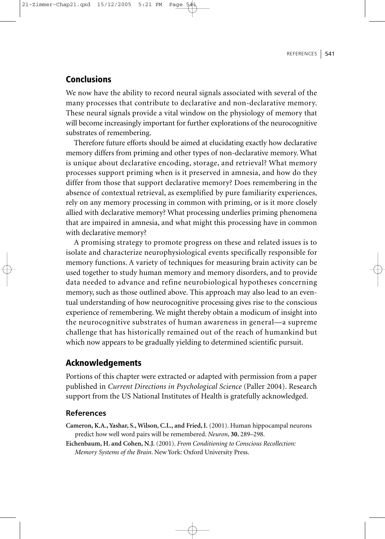# Conclusions

We now have the ability to record neural signals associated with several of the many processes that contribute to declarative and non-declarative memory. These neural signals provide a vital window on the physiology of memory that will become increasingly important for further explorations of the neurocognitive substrates of remembering.

Therefore future efforts should be aimed at elucidating exactly how declarative memory differs from priming and other types of non-declarative memory. What is unique about declarative encoding, storage, and retrieval? What memory processes support priming when is it preserved in amnesia, and how do they differ from those that support declarative memory? Does remembering in the absence of contextual retrieval, as exemplified by pure familiarity experiences, rely on any memory processing in common with priming, or is it more closely allied with declarative memory? What processing underlies priming phenomena that are impaired in amnesia, and what might this processing have in common with declarative memory?

A promising strategy to promote progress on these and related issues is to isolate and characterize neurophysiological events specifically responsible for memory functions. A variety of techniques for measuring brain activity can be used together to study human memory and memory disorders, and to provide data needed to advance and refine neurobiological hypotheses concerning memory, such as those outlined above. This approach may also lead to an eventual understanding of how neurocognitive processing gives rise to the conscious experience of remembering. We might thereby obtain a modicum of insight into the neurocognitive substrates of human awareness in general—a supreme challenge that has historically remained out of the reach of humankind but which now appears to be gradually yielding to determined scientific pursuit.

# Acknowledgements

Portions of this chapter were extracted or adapted with permission from a paper published in *Current Directions in Psychological Science* (Paller 2004). Research support from the US National Institutes of Health is gratefully acknowledged.

#### **References**

- **Cameron, K.A., Yashar, S., Wilson, C.L., and Fried, I.** (2001). Human hippocampal neurons predict how well word pairs will be remembered. *Neuron*, **30**, 289–298.
- **Eichenbaum, H. and Cohen, N.J.** (2001). *From Conditioning to Conscious Recollection: Memory Systems of the Brain*. New York: Oxford University Press.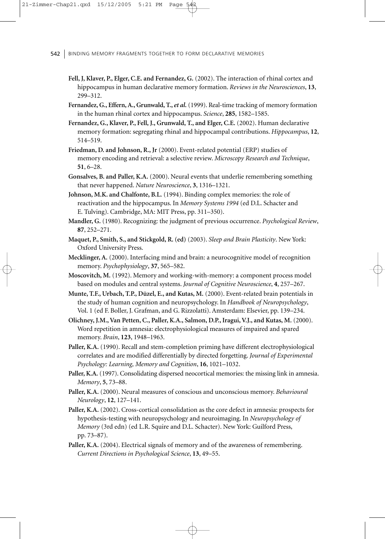- 542 BINDING MEMORY FRAGMENTS TOGETHER TO FORM DECLARATIVE MEMORIES
	- **Fell, J, Klaver, P., Elger, C.E. and Fernandez, G.** (2002). The interaction of rhinal cortex and hippocampus in human declarative memory formation. *Reviews in the Neurosciences*, **13**, 299–312.
	- **Fernandez, G., Effern,A., Grunwald, T.,** *et al***.** (1999). Real-time tracking of memory formation in the human rhinal cortex and hippocampus. *Science*, **285**, 1582–1585.
	- **Fernandez, G., Klaver, P., Fell, J., Grunwald, T., and Elger, C.E.** (2002). Human declarative memory formation: segregating rhinal and hippocampal contributions. *Hippocampus*, **12**, 514–519.
	- **Friedman, D. and Johnson, R., Jr** (2000). Event-related potential (ERP) studies of memory encoding and retrieval: a selective review. *Microscopy Research and Technique*, **51**, 6–28.
	- **Gonsalves, B. and Paller, K.A.** (2000). Neural events that underlie remembering something that never happened. *Nature Neuroscience*, **3**, 1316–1321.
	- **Johnson, M.K. and Chalfonte, B.L.** (1994). Binding complex memories: the role of reactivation and the hippocampus. In *Memory Systems 1994* (ed D.L. Schacter and E. Tulving). Cambridge, MA: MIT Press, pp. 311–350).
	- **Mandler, G.** (1980). Recognizing: the judgment of previous occurrence. *Psychological Review*, **87**, 252–271.
	- **Maquet, P., Smith, S., and Stickgold, R. (ed)** (2003). *Sleep and Brain Plasticity*. New York: Oxford University Press.
	- **Mecklinger, A.** (2000). Interfacing mind and brain: a neurocognitive model of recognition memory. *Psychophysiology*, **37**, 565–582.
	- **Moscovitch, M.** (1992). Memory and working-with-memory: a component process model based on modules and central systems. *Journal of Cognitive Neuroscience*, **4**, 257–267.
	- **Munte, T.F., Urbach, T.P., Düzel, E., and Kutas, M.** (2000). Event-related brain potentials in the study of human cognition and neuropsychology. In *Handbook of Neuropsychology*, Vol. 1 (ed F. Boller, J. Grafman, and G. Rizzolatti). Amsterdam: Elsevier, pp. 139–234.
	- **Olichney, J.M.,Van Petten, C., Paller, K.A., Salmon, D.P., Iragui,V.J., and Kutas, M.** (2000). Word repetition in amnesia: electrophysiological measures of impaired and spared memory. *Brain*, **123**, 1948–1963.
	- **Paller, K.A.** (1990). Recall and stem-completion priming have different electrophysiological correlates and are modified differentially by directed forgetting. *Journal of Experimental Psychology: Learning, Memory and Cognition*, **16**, 1021–1032.
	- **Paller, K.A.** (1997). Consolidating dispersed neocortical memories: the missing link in amnesia. *Memory*, **5**, 73–88.
	- **Paller, K.A.** (2000). Neural measures of conscious and unconscious memory. *Behavioural Neurology*, **12**, 127–141.
	- **Paller, K.A.** (2002). Cross-cortical consolidation as the core defect in amnesia: prospects for hypothesis-testing with neuropsychology and neuroimaging. In *Neuropsychology of Memory* (3rd edn) (ed L.R. Squire and D.L. Schacter). New York: Guilford Press, pp. 73–87).
	- **Paller, K.A.** (2004). Electrical signals of memory and of the awareness of remembering. *Current Directions in Psychological Science*, **13**, 49–55.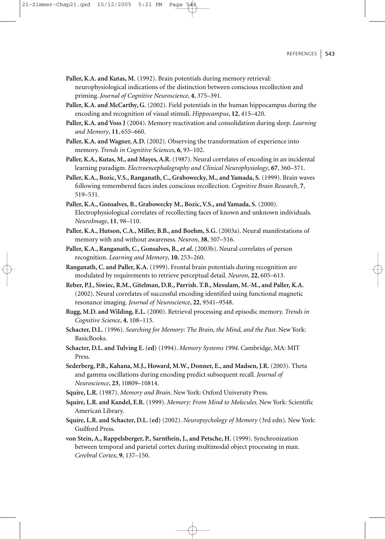#### REFERENCES  $\vert$  543

**Paller, K.A. and Kutas, M.** (1992). Brain potentials during memory retrieval: neurophysiological indications of the distinction between conscious recollection and priming. *Journal of Cognitive Neuroscience*, **4**, 375–391.

- **Paller, K.A. and McCarthy, G.** (2002). Field potentials in the human hippocampus during the encoding and recognition of visual stimuli. *Hippocampus*, **12**, 415–420.
- **Paller, K.A. and Voss J** (2004). Memory reactivation and consolidation during sleep. *Learning and Memory*, **11**, 655–660.
- **Paller, K.A. and Wagner, A.D.** (2002). Observing the transformation of experience into memory. *Trends in Cognitive Sciences*, **6**, 93–102.
- **Paller, K.A., Kutas, M., and Mayes,A.R.** (1987). Neural correlates of encoding in an incidental learning paradigm. *Electroencephalography and Clinical Neurophysiology*, **67**, 360–371.
- **Paller, K.A., Bozic,V.S., Ranganath, C., Grabowecky, M., and Yamada, S.** (1999). Brain waves following remembered faces index conscious recollection. *Cognitive Brain Research*, **7**, 519–531.
- **Paller, K.A., Gonsalves, B., Grabowecky M., Bozic,V.S., and Yamada, S.** (2000). Electrophysiological correlates of recollecting faces of known and unknown individuals. *NeuroImage*, **11**, 98–110.
- **Paller, K.A., Hutson, C.A., Miller, B.B., and Boehm, S.G.** (2003a). Neural manifestations of memory with and without awareness. *Neuron*, **38**, 507–516.
- **Paller, K.A., Ranganath, C., Gonsalves, B.,** *et al***.** (2003b). Neural correlates of person recognition. *Learning and Memory*, **10**, 253–260.
- **Ranganath, C. and Paller, K.A.** (1999). Frontal brain potentials during recognition are modulated by requirements to retrieve perceptual detail. *Neuron*, **22**, 605–613.
- **Reber, P.J., Siwiec, R.M., Gitelman, D.R., Parrish. T.B., Mesulam, M.-M., and Paller, K.A.** (2002). Neural correlates of successful encoding identified using functional magnetic resonance imaging. *Journal of Neuroscience*, **22**, 9541–9548.
- **Rugg, M.D. and Wilding, E.L.** (2000). Retrieval processing and episodic memory. *Trends in Cognitive Science*, **4**, 108–115.
- **Schacter, D.L.** (1996). *Searching for Memory: The Brain, the Mind, and the Past*. New York: BasicBooks.
- **Schacter, D.L. and Tulving E. (ed)** (1994). *Memory Systems 1994*. Cambridge, MA: MIT Press.
- **Sederberg, P.B., Kahana, M.J., Howard, M.W., Donner, E., and Madsen, J.R.** (2003). Theta and gamma oscillations during encoding predict subsequent recall. *Journal of Neuroscience*, **23**, 10809–10814.
- **Squire, L.R.** (1987). *Memory and Brain*. New York: Oxford University Press.
- **Squire, L.R. and Kandel, E.R.** (1999). *Memory: From Mind to Molecules*. New York: Scientific American Library.
- **Squire, L.R. and Schacter, D.L. (ed)** (2002). *Neuropsychology of Memory* (3rd edn). New York: Guilford Press.
- **von Stein, A., Rappelsberger, P., Sarnthein, J., and Petsche, H.** (1999). Synchronization between temporal and parietal cortex during multimodal object processing in man. *Cerebral Cortex*, **9**, 137–150.